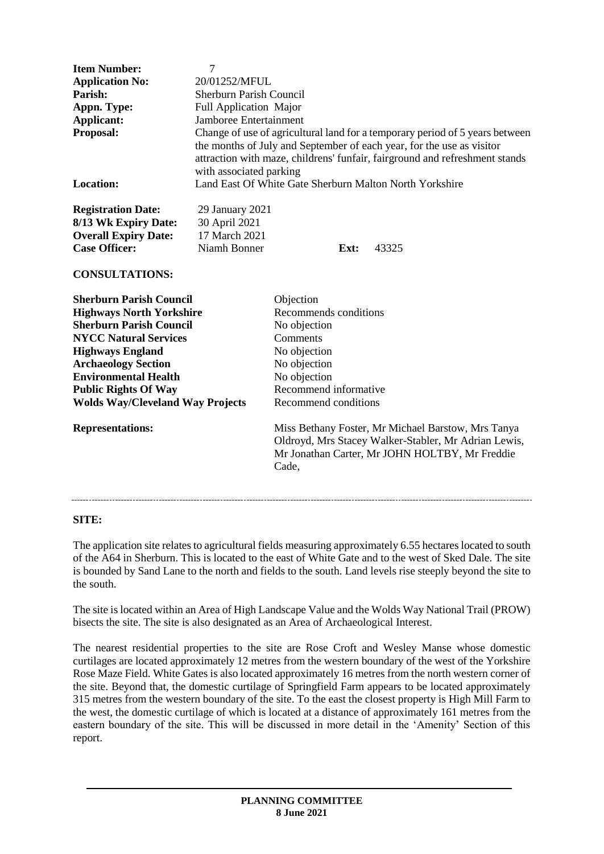| <b>Item Number:</b><br><b>Application No:</b><br>Parish:<br>Appn. Type:<br><b>Applicant:</b><br>Proposal:                         | $\overline{7}$<br>20/01252/MFUL<br>Sherburn Parish Council<br>Full Application Major<br>Jamboree Entertainment<br>Change of use of agricultural land for a temporary period of 5 years between<br>the months of July and September of each year, for the use as visitor<br>attraction with maze, childrens' funfair, fairground and refreshment stands |                          |                                                                                                                                                              |
|-----------------------------------------------------------------------------------------------------------------------------------|--------------------------------------------------------------------------------------------------------------------------------------------------------------------------------------------------------------------------------------------------------------------------------------------------------------------------------------------------------|--------------------------|--------------------------------------------------------------------------------------------------------------------------------------------------------------|
|                                                                                                                                   | with associated parking                                                                                                                                                                                                                                                                                                                                |                          |                                                                                                                                                              |
| <b>Location:</b>                                                                                                                  | Land East Of White Gate Sherburn Malton North Yorkshire                                                                                                                                                                                                                                                                                                |                          |                                                                                                                                                              |
| <b>Registration Date:</b><br>8/13 Wk Expiry Date:<br><b>Overall Expiry Date:</b><br><b>Case Officer:</b><br><b>CONSULTATIONS:</b> | 29 January 2021<br>30 April 2021<br>17 March 2021<br>Niamh Bonner                                                                                                                                                                                                                                                                                      | Ext:                     | 43325                                                                                                                                                        |
|                                                                                                                                   |                                                                                                                                                                                                                                                                                                                                                        |                          |                                                                                                                                                              |
| <b>Sherburn Parish Council</b>                                                                                                    |                                                                                                                                                                                                                                                                                                                                                        | Objection                |                                                                                                                                                              |
| <b>Highways North Yorkshire</b>                                                                                                   |                                                                                                                                                                                                                                                                                                                                                        | Recommends conditions    |                                                                                                                                                              |
| <b>Sherburn Parish Council</b>                                                                                                    |                                                                                                                                                                                                                                                                                                                                                        | No objection             |                                                                                                                                                              |
| <b>NYCC Natural Services</b>                                                                                                      |                                                                                                                                                                                                                                                                                                                                                        | Comments<br>No objection |                                                                                                                                                              |
| <b>Highways England</b><br><b>Archaeology Section</b>                                                                             |                                                                                                                                                                                                                                                                                                                                                        | No objection             |                                                                                                                                                              |
| <b>Environmental Health</b>                                                                                                       |                                                                                                                                                                                                                                                                                                                                                        | No objection             |                                                                                                                                                              |
| <b>Public Rights Of Way</b>                                                                                                       |                                                                                                                                                                                                                                                                                                                                                        | Recommend informative    |                                                                                                                                                              |
| <b>Wolds Way/Cleveland Way Projects</b>                                                                                           |                                                                                                                                                                                                                                                                                                                                                        | Recommend conditions     |                                                                                                                                                              |
| <b>Representations:</b>                                                                                                           |                                                                                                                                                                                                                                                                                                                                                        | Cade,                    | Miss Bethany Foster, Mr Michael Barstow, Mrs Tanya<br>Oldroyd, Mrs Stacey Walker-Stabler, Mr Adrian Lewis,<br>Mr Jonathan Carter, Mr JOHN HOLTBY, Mr Freddie |

#### **SITE:**

The application site relates to agricultural fields measuring approximately 6.55 hectares located to south of the A64 in Sherburn. This is located to the east of White Gate and to the west of Sked Dale. The site is bounded by Sand Lane to the north and fields to the south. Land levels rise steeply beyond the site to the south.

The site is located within an Area of High Landscape Value and the Wolds Way National Trail (PROW) bisects the site. The site is also designated as an Area of Archaeological Interest.

The nearest residential properties to the site are Rose Croft and Wesley Manse whose domestic curtilages are located approximately 12 metres from the western boundary of the west of the Yorkshire Rose Maze Field. White Gates is also located approximately 16 metres from the north western corner of the site. Beyond that, the domestic curtilage of Springfield Farm appears to be located approximately 315 metres from the western boundary of the site. To the east the closest property is High Mill Farm to the west, the domestic curtilage of which is located at a distance of approximately 161 metres from the eastern boundary of the site. This will be discussed in more detail in the 'Amenity' Section of this report.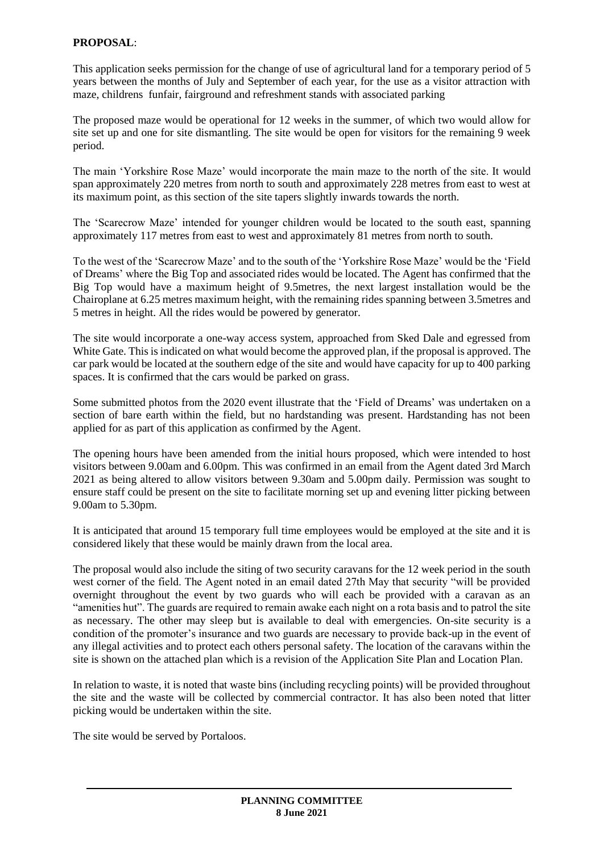## **PROPOSAL**:

This application seeks permission for the change of use of agricultural land for a temporary period of 5 years between the months of July and September of each year, for the use as a visitor attraction with maze, childrens funfair, fairground and refreshment stands with associated parking

The proposed maze would be operational for 12 weeks in the summer, of which two would allow for site set up and one for site dismantling. The site would be open for visitors for the remaining 9 week period.

The main 'Yorkshire Rose Maze' would incorporate the main maze to the north of the site. It would span approximately 220 metres from north to south and approximately 228 metres from east to west at its maximum point, as this section of the site tapers slightly inwards towards the north.

The 'Scarecrow Maze' intended for younger children would be located to the south east, spanning approximately 117 metres from east to west and approximately 81 metres from north to south.

To the west of the 'Scarecrow Maze' and to the south of the 'Yorkshire Rose Maze' would be the 'Field of Dreams' where the Big Top and associated rides would be located. The Agent has confirmed that the Big Top would have a maximum height of 9.5metres, the next largest installation would be the Chairoplane at 6.25 metres maximum height, with the remaining rides spanning between 3.5metres and 5 metres in height. All the rides would be powered by generator.

The site would incorporate a one-way access system, approached from Sked Dale and egressed from White Gate. This is indicated on what would become the approved plan, if the proposal is approved. The car park would be located at the southern edge of the site and would have capacity for up to 400 parking spaces. It is confirmed that the cars would be parked on grass.

Some submitted photos from the 2020 event illustrate that the 'Field of Dreams' was undertaken on a section of bare earth within the field, but no hardstanding was present. Hardstanding has not been applied for as part of this application as confirmed by the Agent.

The opening hours have been amended from the initial hours proposed, which were intended to host visitors between 9.00am and 6.00pm. This was confirmed in an email from the Agent dated 3rd March 2021 as being altered to allow visitors between 9.30am and 5.00pm daily. Permission was sought to ensure staff could be present on the site to facilitate morning set up and evening litter picking between 9.00am to 5.30pm.

It is anticipated that around 15 temporary full time employees would be employed at the site and it is considered likely that these would be mainly drawn from the local area.

The proposal would also include the siting of two security caravans for the 12 week period in the south west corner of the field. The Agent noted in an email dated 27th May that security "will be provided overnight throughout the event by two guards who will each be provided with a caravan as an "amenities hut". The guards are required to remain awake each night on a rota basis and to patrol the site as necessary. The other may sleep but is available to deal with emergencies. On-site security is a condition of the promoter's insurance and two guards are necessary to provide back-up in the event of any illegal activities and to protect each others personal safety. The location of the caravans within the site is shown on the attached plan which is a revision of the Application Site Plan and Location Plan.

In relation to waste, it is noted that waste bins (including recycling points) will be provided throughout the site and the waste will be collected by commercial contractor. It has also been noted that litter picking would be undertaken within the site.

The site would be served by Portaloos.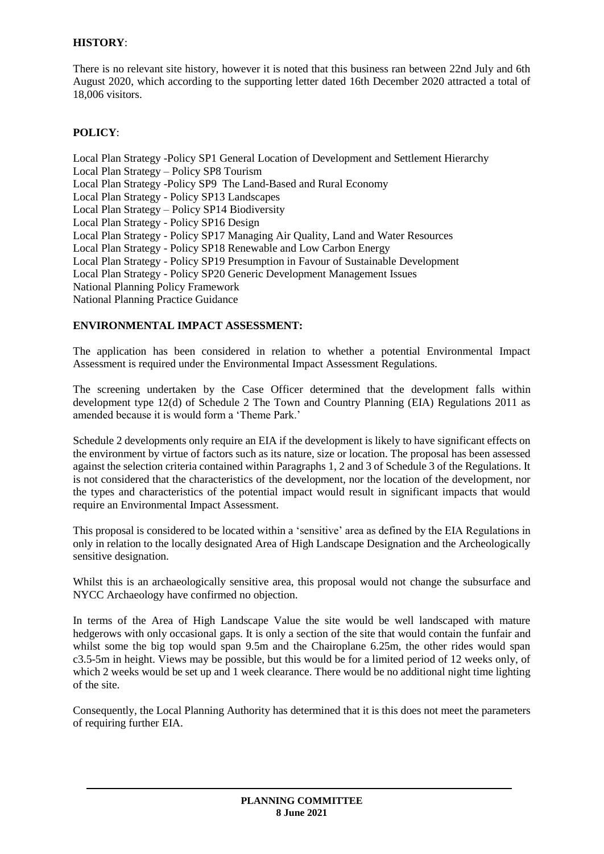## **HISTORY**:

There is no relevant site history, however it is noted that this business ran between 22nd July and 6th August 2020, which according to the supporting letter dated 16th December 2020 attracted a total of 18,006 visitors.

# **POLICY**:

Local Plan Strategy -Policy SP1 General Location of Development and Settlement Hierarchy Local Plan Strategy – Policy SP8 Tourism Local Plan Strategy -Policy SP9 The Land-Based and Rural Economy Local Plan Strategy - Policy SP13 Landscapes Local Plan Strategy – Policy SP14 Biodiversity Local Plan Strategy - Policy SP16 Design Local Plan Strategy - Policy SP17 Managing Air Quality, Land and Water Resources Local Plan Strategy - Policy SP18 Renewable and Low Carbon Energy Local Plan Strategy - Policy SP19 Presumption in Favour of Sustainable Development Local Plan Strategy - Policy SP20 Generic Development Management Issues National Planning Policy Framework National Planning Practice Guidance

## **ENVIRONMENTAL IMPACT ASSESSMENT:**

The application has been considered in relation to whether a potential Environmental Impact Assessment is required under the Environmental Impact Assessment Regulations.

The screening undertaken by the Case Officer determined that the development falls within development type 12(d) of Schedule 2 The Town and Country Planning (EIA) Regulations 2011 as amended because it is would form a 'Theme Park.'

Schedule 2 developments only require an EIA if the development is likely to have significant effects on the environment by virtue of factors such as its nature, size or location. The proposal has been assessed against the selection criteria contained within Paragraphs 1, 2 and 3 of Schedule 3 of the Regulations. It is not considered that the characteristics of the development, nor the location of the development, nor the types and characteristics of the potential impact would result in significant impacts that would require an Environmental Impact Assessment.

This proposal is considered to be located within a 'sensitive' area as defined by the EIA Regulations in only in relation to the locally designated Area of High Landscape Designation and the Archeologically sensitive designation.

Whilst this is an archaeologically sensitive area, this proposal would not change the subsurface and NYCC Archaeology have confirmed no objection.

In terms of the Area of High Landscape Value the site would be well landscaped with mature hedgerows with only occasional gaps. It is only a section of the site that would contain the funfair and whilst some the big top would span 9.5m and the Chairoplane 6.25m, the other rides would span c3.5-5m in height. Views may be possible, but this would be for a limited period of 12 weeks only, of which 2 weeks would be set up and 1 week clearance. There would be no additional night time lighting of the site.

Consequently, the Local Planning Authority has determined that it is this does not meet the parameters of requiring further EIA.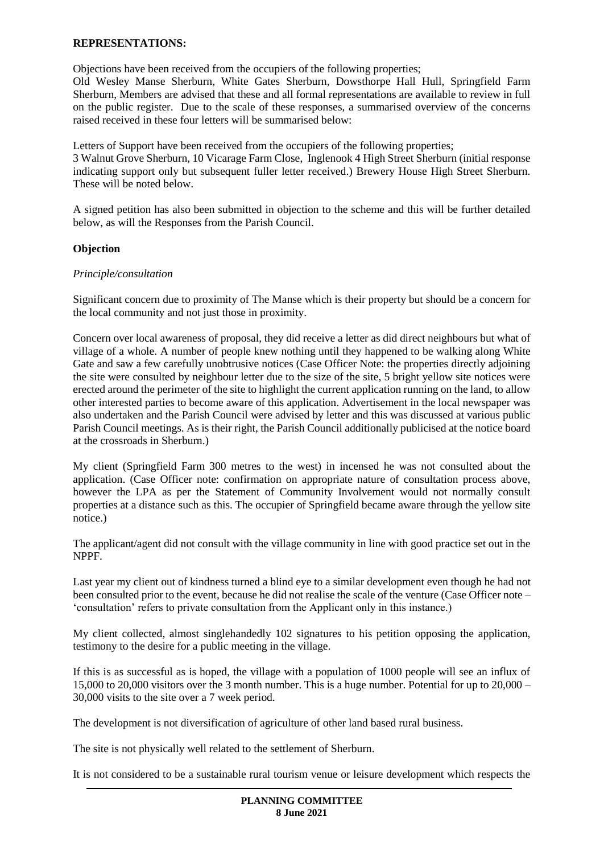#### **REPRESENTATIONS:**

Objections have been received from the occupiers of the following properties;

Old Wesley Manse Sherburn, White Gates Sherburn, Dowsthorpe Hall Hull, Springfield Farm Sherburn, Members are advised that these and all formal representations are available to review in full on the public register. Due to the scale of these responses, a summarised overview of the concerns raised received in these four letters will be summarised below:

Letters of Support have been received from the occupiers of the following properties; 3 Walnut Grove Sherburn, 10 Vicarage Farm Close, Inglenook 4 High Street Sherburn (initial response indicating support only but subsequent fuller letter received.) Brewery House High Street Sherburn. These will be noted below.

A signed petition has also been submitted in objection to the scheme and this will be further detailed below, as will the Responses from the Parish Council.

#### **Objection**

#### *Principle/consultation*

Significant concern due to proximity of The Manse which is their property but should be a concern for the local community and not just those in proximity.

Concern over local awareness of proposal, they did receive a letter as did direct neighbours but what of village of a whole. A number of people knew nothing until they happened to be walking along White Gate and saw a few carefully unobtrusive notices (Case Officer Note: the properties directly adjoining the site were consulted by neighbour letter due to the size of the site, 5 bright yellow site notices were erected around the perimeter of the site to highlight the current application running on the land, to allow other interested parties to become aware of this application. Advertisement in the local newspaper was also undertaken and the Parish Council were advised by letter and this was discussed at various public Parish Council meetings. As is their right, the Parish Council additionally publicised at the notice board at the crossroads in Sherburn.)

My client (Springfield Farm 300 metres to the west) in incensed he was not consulted about the application. (Case Officer note: confirmation on appropriate nature of consultation process above, however the LPA as per the Statement of Community Involvement would not normally consult properties at a distance such as this. The occupier of Springfield became aware through the yellow site notice.)

The applicant/agent did not consult with the village community in line with good practice set out in the NPPF.

Last year my client out of kindness turned a blind eye to a similar development even though he had not been consulted prior to the event, because he did not realise the scale of the venture (Case Officer note – 'consultation' refers to private consultation from the Applicant only in this instance.)

My client collected, almost singlehandedly 102 signatures to his petition opposing the application, testimony to the desire for a public meeting in the village.

If this is as successful as is hoped, the village with a population of 1000 people will see an influx of 15,000 to 20,000 visitors over the 3 month number. This is a huge number. Potential for up to 20,000 – 30,000 visits to the site over a 7 week period.

The development is not diversification of agriculture of other land based rural business.

The site is not physically well related to the settlement of Sherburn.

It is not considered to be a sustainable rural tourism venue or leisure development which respects the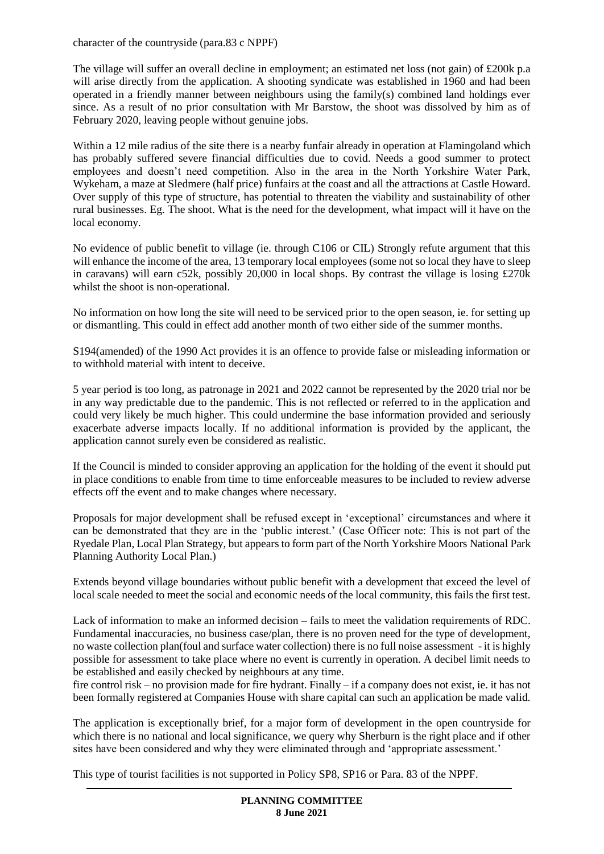character of the countryside (para.83 c NPPF)

The village will suffer an overall decline in employment; an estimated net loss (not gain) of £200k p.a will arise directly from the application. A shooting syndicate was established in 1960 and had been operated in a friendly manner between neighbours using the family(s) combined land holdings ever since. As a result of no prior consultation with Mr Barstow, the shoot was dissolved by him as of February 2020, leaving people without genuine jobs.

Within a 12 mile radius of the site there is a nearby funfair already in operation at Flamingoland which has probably suffered severe financial difficulties due to covid. Needs a good summer to protect employees and doesn't need competition. Also in the area in the North Yorkshire Water Park, Wykeham, a maze at Sledmere (half price) funfairs at the coast and all the attractions at Castle Howard. Over supply of this type of structure, has potential to threaten the viability and sustainability of other rural businesses. Eg. The shoot. What is the need for the development, what impact will it have on the local economy.

No evidence of public benefit to village (ie. through C106 or CIL) Strongly refute argument that this will enhance the income of the area, 13 temporary local employees (some not so local they have to sleep in caravans) will earn c52k, possibly 20,000 in local shops. By contrast the village is losing  $\text{\textsterling}270k$ whilst the shoot is non-operational.

No information on how long the site will need to be serviced prior to the open season, ie. for setting up or dismantling. This could in effect add another month of two either side of the summer months.

S194(amended) of the 1990 Act provides it is an offence to provide false or misleading information or to withhold material with intent to deceive.

5 year period is too long, as patronage in 2021 and 2022 cannot be represented by the 2020 trial nor be in any way predictable due to the pandemic. This is not reflected or referred to in the application and could very likely be much higher. This could undermine the base information provided and seriously exacerbate adverse impacts locally. If no additional information is provided by the applicant, the application cannot surely even be considered as realistic.

If the Council is minded to consider approving an application for the holding of the event it should put in place conditions to enable from time to time enforceable measures to be included to review adverse effects off the event and to make changes where necessary.

Proposals for major development shall be refused except in 'exceptional' circumstances and where it can be demonstrated that they are in the 'public interest.' (Case Officer note: This is not part of the Ryedale Plan, Local Plan Strategy, but appears to form part of the North Yorkshire Moors National Park Planning Authority Local Plan.)

Extends beyond village boundaries without public benefit with a development that exceed the level of local scale needed to meet the social and economic needs of the local community, this fails the first test.

Lack of information to make an informed decision – fails to meet the validation requirements of RDC. Fundamental inaccuracies, no business case/plan, there is no proven need for the type of development, no waste collection plan(foul and surface water collection) there is no full noise assessment - it is highly possible for assessment to take place where no event is currently in operation. A decibel limit needs to be established and easily checked by neighbours at any time.

fire control risk – no provision made for fire hydrant. Finally – if a company does not exist, ie. it has not been formally registered at Companies House with share capital can such an application be made valid.

The application is exceptionally brief, for a major form of development in the open countryside for which there is no national and local significance, we query why Sherburn is the right place and if other sites have been considered and why they were eliminated through and 'appropriate assessment.'

This type of tourist facilities is not supported in Policy SP8, SP16 or Para. 83 of the NPPF.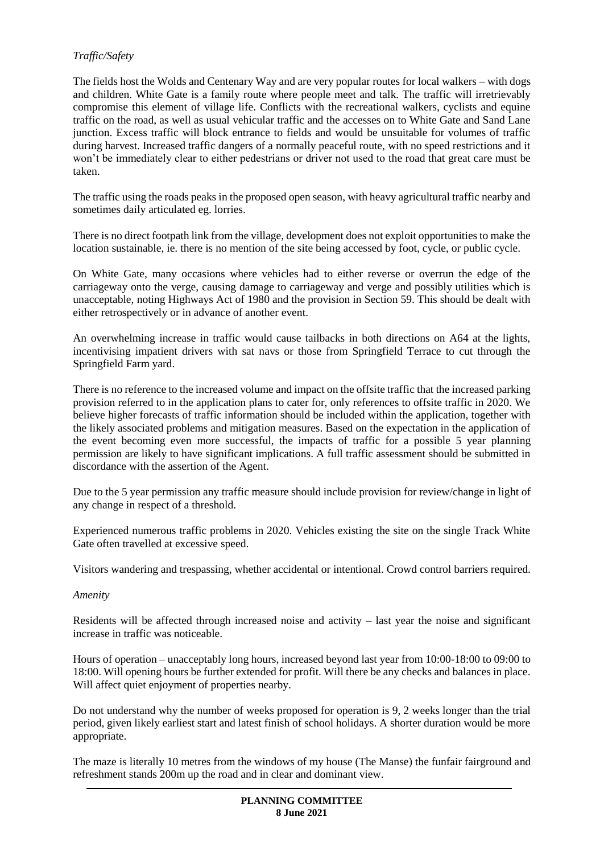## *Traffic/Safety*

The fields host the Wolds and Centenary Way and are very popular routes for local walkers – with dogs and children. White Gate is a family route where people meet and talk. The traffic will irretrievably compromise this element of village life. Conflicts with the recreational walkers, cyclists and equine traffic on the road, as well as usual vehicular traffic and the accesses on to White Gate and Sand Lane junction. Excess traffic will block entrance to fields and would be unsuitable for volumes of traffic during harvest. Increased traffic dangers of a normally peaceful route, with no speed restrictions and it won't be immediately clear to either pedestrians or driver not used to the road that great care must be taken.

The traffic using the roads peaks in the proposed open season, with heavy agricultural traffic nearby and sometimes daily articulated eg. lorries.

There is no direct footpath link from the village, development does not exploit opportunities to make the location sustainable, ie. there is no mention of the site being accessed by foot, cycle, or public cycle.

On White Gate, many occasions where vehicles had to either reverse or overrun the edge of the carriageway onto the verge, causing damage to carriageway and verge and possibly utilities which is unacceptable, noting Highways Act of 1980 and the provision in Section 59. This should be dealt with either retrospectively or in advance of another event.

An overwhelming increase in traffic would cause tailbacks in both directions on A64 at the lights, incentivising impatient drivers with sat navs or those from Springfield Terrace to cut through the Springfield Farm yard.

There is no reference to the increased volume and impact on the offsite traffic that the increased parking provision referred to in the application plans to cater for, only references to offsite traffic in 2020. We believe higher forecasts of traffic information should be included within the application, together with the likely associated problems and mitigation measures. Based on the expectation in the application of the event becoming even more successful, the impacts of traffic for a possible 5 year planning permission are likely to have significant implications. A full traffic assessment should be submitted in discordance with the assertion of the Agent.

Due to the 5 year permission any traffic measure should include provision for review/change in light of any change in respect of a threshold.

Experienced numerous traffic problems in 2020. Vehicles existing the site on the single Track White Gate often travelled at excessive speed.

Visitors wandering and trespassing, whether accidental or intentional. Crowd control barriers required.

#### *Amenity*

Residents will be affected through increased noise and activity – last year the noise and significant increase in traffic was noticeable.

Hours of operation – unacceptably long hours, increased beyond last year from 10:00-18:00 to 09:00 to 18:00. Will opening hours be further extended for profit. Will there be any checks and balances in place. Will affect quiet enjoyment of properties nearby.

Do not understand why the number of weeks proposed for operation is 9, 2 weeks longer than the trial period, given likely earliest start and latest finish of school holidays. A shorter duration would be more appropriate.

The maze is literally 10 metres from the windows of my house (The Manse) the funfair fairground and refreshment stands 200m up the road and in clear and dominant view.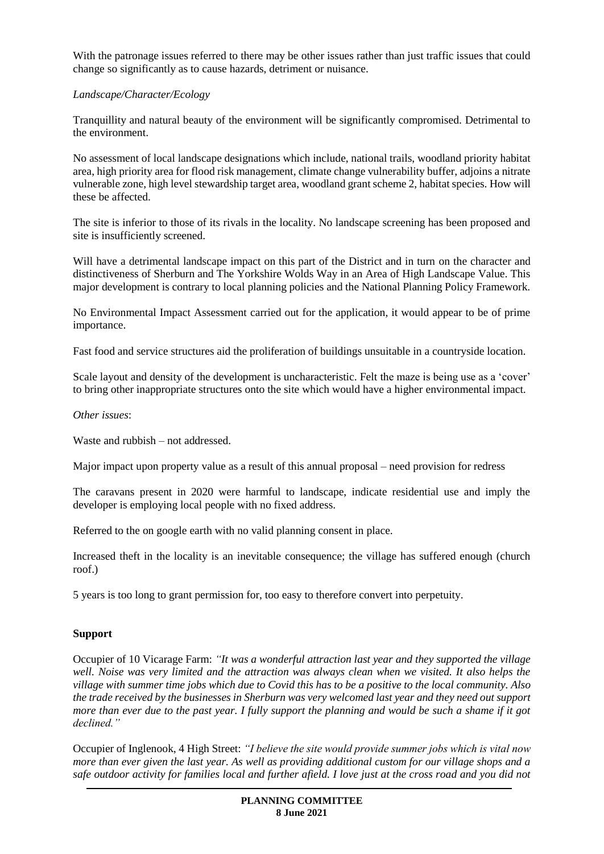With the patronage issues referred to there may be other issues rather than just traffic issues that could change so significantly as to cause hazards, detriment or nuisance.

#### *Landscape/Character/Ecology*

Tranquillity and natural beauty of the environment will be significantly compromised. Detrimental to the environment.

No assessment of local landscape designations which include, national trails, woodland priority habitat area, high priority area for flood risk management, climate change vulnerability buffer, adjoins a nitrate vulnerable zone, high level stewardship target area, woodland grant scheme 2, habitat species. How will these be affected.

The site is inferior to those of its rivals in the locality. No landscape screening has been proposed and site is insufficiently screened.

Will have a detrimental landscape impact on this part of the District and in turn on the character and distinctiveness of Sherburn and The Yorkshire Wolds Way in an Area of High Landscape Value. This major development is contrary to local planning policies and the National Planning Policy Framework.

No Environmental Impact Assessment carried out for the application, it would appear to be of prime importance.

Fast food and service structures aid the proliferation of buildings unsuitable in a countryside location.

Scale layout and density of the development is uncharacteristic. Felt the maze is being use as a 'cover' to bring other inappropriate structures onto the site which would have a higher environmental impact.

#### *Other issues*:

Waste and rubbish – not addressed.

Major impact upon property value as a result of this annual proposal – need provision for redress

The caravans present in 2020 were harmful to landscape, indicate residential use and imply the developer is employing local people with no fixed address.

Referred to the on google earth with no valid planning consent in place.

Increased theft in the locality is an inevitable consequence; the village has suffered enough (church roof.)

5 years is too long to grant permission for, too easy to therefore convert into perpetuity.

## **Support**

Occupier of 10 Vicarage Farm: *"It was a wonderful attraction last year and they supported the village well. Noise was very limited and the attraction was always clean when we visited. It also helps the village with summer time jobs which due to Covid this has to be a positive to the local community. Also the trade received by the businesses in Sherburn was very welcomed last year and they need out support more than ever due to the past year. I fully support the planning and would be such a shame if it got declined."*

Occupier of Inglenook, 4 High Street: *"I believe the site would provide summer jobs which is vital now more than ever given the last year. As well as providing additional custom for our village shops and a safe outdoor activity for families local and further afield. I love just at the cross road and you did not*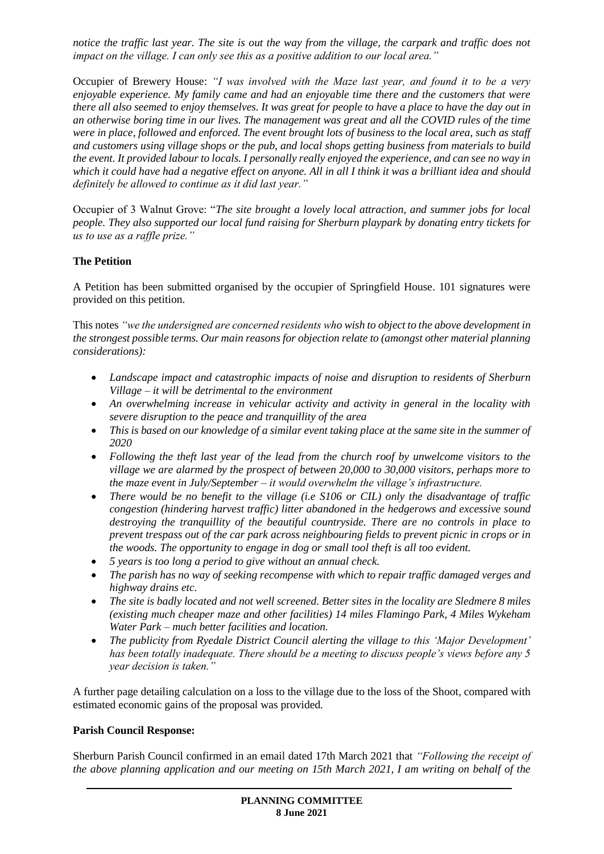*notice the traffic last year. The site is out the way from the village, the carpark and traffic does not impact on the village. I can only see this as a positive addition to our local area."*

Occupier of Brewery House: *"I was involved with the Maze last year, and found it to be a very enjoyable experience. My family came and had an enjoyable time there and the customers that were there all also seemed to enjoy themselves. It was great for people to have a place to have the day out in an otherwise boring time in our lives. The management was great and all the COVID rules of the time were in place, followed and enforced. The event brought lots of business to the local area, such as staff and customers using village shops or the pub, and local shops getting business from materials to build the event. It provided labour to locals. I personally really enjoyed the experience, and can see no way in which it could have had a negative effect on anyone. All in all I think it was a brilliant idea and should definitely be allowed to continue as it did last year."*

Occupier of 3 Walnut Grove: "*The site brought a lovely local attraction, and summer jobs for local people. They also supported our local fund raising for Sherburn playpark by donating entry tickets for us to use as a raffle prize."*

## **The Petition**

A Petition has been submitted organised by the occupier of Springfield House. 101 signatures were provided on this petition.

This notes *"we the undersigned are concerned residents who wish to object to the above development in the strongest possible terms. Our main reasons for objection relate to (amongst other material planning considerations):*

- *Landscape impact and catastrophic impacts of noise and disruption to residents of Sherburn Village – it will be detrimental to the environment*
- *An overwhelming increase in vehicular activity and activity in general in the locality with severe disruption to the peace and tranquillity of the area*
- *This is based on our knowledge of a similar event taking place at the same site in the summer of 2020*
- *Following the theft last year of the lead from the church roof by unwelcome visitors to the village we are alarmed by the prospect of between 20,000 to 30,000 visitors, perhaps more to the maze event in July/September – it would overwhelm the village's infrastructure.*
- *There would be no benefit to the village (i.e S106 or CIL) only the disadvantage of traffic congestion (hindering harvest traffic) litter abandoned in the hedgerows and excessive sound destroying the tranquillity of the beautiful countryside. There are no controls in place to prevent trespass out of the car park across neighbouring fields to prevent picnic in crops or in the woods. The opportunity to engage in dog or small tool theft is all too evident.*
- *5 years is too long a period to give without an annual check.*
- *The parish has no way of seeking recompense with which to repair traffic damaged verges and highway drains etc.*
- *The site is badly located and not well screened. Better sites in the locality are Sledmere 8 miles (existing much cheaper maze and other facilities) 14 miles Flamingo Park, 4 Miles Wykeham Water Park – much better facilities and location.*
- *The publicity from Ryedale District Council alerting the village to this 'Major Development' has been totally inadequate. There should be a meeting to discuss people's views before any 5 year decision is taken."*

A further page detailing calculation on a loss to the village due to the loss of the Shoot, compared with estimated economic gains of the proposal was provided.

## **Parish Council Response:**

Sherburn Parish Council confirmed in an email dated 17th March 2021 that *"Following the receipt of the above planning application and our meeting on 15th March 2021, I am writing on behalf of the*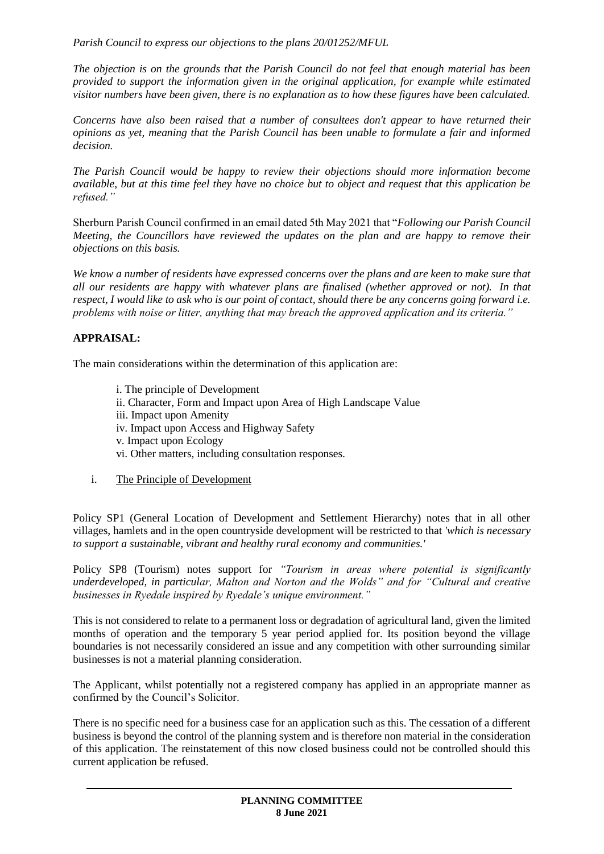*Parish Council to express our objections to the plans 20/01252/MFUL*

*The objection is on the grounds that the Parish Council do not feel that enough material has been provided to support the information given in the original application, for example while estimated visitor numbers have been given, there is no explanation as to how these figures have been calculated.*

*Concerns have also been raised that a number of consultees don't appear to have returned their opinions as yet, meaning that the Parish Council has been unable to formulate a fair and informed decision.*

*The Parish Council would be happy to review their objections should more information become available, but at this time feel they have no choice but to object and request that this application be refused."*

Sherburn Parish Council confirmed in an email dated 5th May 2021 that "*Following our Parish Council Meeting, the Councillors have reviewed the updates on the plan and are happy to remove their objections on this basis.*

*We know a number of residents have expressed concerns over the plans and are keen to make sure that all our residents are happy with whatever plans are finalised (whether approved or not). In that respect, I would like to ask who is our point of contact, should there be any concerns going forward i.e. problems with noise or litter, anything that may breach the approved application and its criteria."*

# **APPRAISAL:**

The main considerations within the determination of this application are:

- i. The principle of Development ii. Character, Form and Impact upon Area of High Landscape Value iii. Impact upon Amenity iv. Impact upon Access and Highway Safety v. Impact upon Ecology vi. Other matters, including consultation responses.
- i. The Principle of Development

Policy SP1 (General Location of Development and Settlement Hierarchy) notes that in all other villages, hamlets and in the open countryside development will be restricted to that *'which is necessary to support a sustainable, vibrant and healthy rural economy and communities.'*

Policy SP8 (Tourism) notes support for *"Tourism in areas where potential is significantly underdeveloped, in particular, Malton and Norton and the Wolds" and for "Cultural and creative businesses in Ryedale inspired by Ryedale's unique environment."* 

This is not considered to relate to a permanent loss or degradation of agricultural land, given the limited months of operation and the temporary 5 year period applied for. Its position beyond the village boundaries is not necessarily considered an issue and any competition with other surrounding similar businesses is not a material planning consideration.

The Applicant, whilst potentially not a registered company has applied in an appropriate manner as confirmed by the Council's Solicitor.

There is no specific need for a business case for an application such as this. The cessation of a different business is beyond the control of the planning system and is therefore non material in the consideration of this application. The reinstatement of this now closed business could not be controlled should this current application be refused.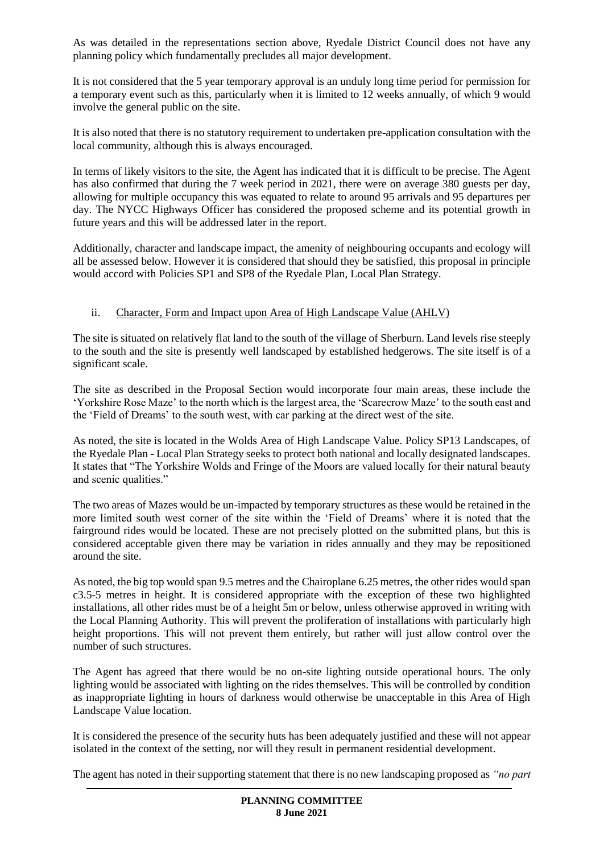As was detailed in the representations section above, Ryedale District Council does not have any planning policy which fundamentally precludes all major development.

It is not considered that the 5 year temporary approval is an unduly long time period for permission for a temporary event such as this, particularly when it is limited to 12 weeks annually, of which 9 would involve the general public on the site.

It is also noted that there is no statutory requirement to undertaken pre-application consultation with the local community, although this is always encouraged.

In terms of likely visitors to the site, the Agent has indicated that it is difficult to be precise. The Agent has also confirmed that during the 7 week period in 2021, there were on average 380 guests per day, allowing for multiple occupancy this was equated to relate to around 95 arrivals and 95 departures per day. The NYCC Highways Officer has considered the proposed scheme and its potential growth in future years and this will be addressed later in the report.

Additionally, character and landscape impact, the amenity of neighbouring occupants and ecology will all be assessed below. However it is considered that should they be satisfied, this proposal in principle would accord with Policies SP1 and SP8 of the Ryedale Plan, Local Plan Strategy.

## ii. Character, Form and Impact upon Area of High Landscape Value (AHLV)

The site is situated on relatively flat land to the south of the village of Sherburn. Land levels rise steeply to the south and the site is presently well landscaped by established hedgerows. The site itself is of a significant scale.

The site as described in the Proposal Section would incorporate four main areas, these include the 'Yorkshire Rose Maze' to the north which is the largest area, the 'Scarecrow Maze' to the south east and the 'Field of Dreams' to the south west, with car parking at the direct west of the site.

As noted, the site is located in the Wolds Area of High Landscape Value. Policy SP13 Landscapes, of the Ryedale Plan - Local Plan Strategy seeks to protect both national and locally designated landscapes. It states that "The Yorkshire Wolds and Fringe of the Moors are valued locally for their natural beauty and scenic qualities."

The two areas of Mazes would be un-impacted by temporary structures as these would be retained in the more limited south west corner of the site within the 'Field of Dreams' where it is noted that the fairground rides would be located. These are not precisely plotted on the submitted plans, but this is considered acceptable given there may be variation in rides annually and they may be repositioned around the site.

As noted, the big top would span 9.5 metres and the Chairoplane 6.25 metres, the other rides would span c3.5-5 metres in height. It is considered appropriate with the exception of these two highlighted installations, all other rides must be of a height 5m or below, unless otherwise approved in writing with the Local Planning Authority. This will prevent the proliferation of installations with particularly high height proportions. This will not prevent them entirely, but rather will just allow control over the number of such structures.

The Agent has agreed that there would be no on-site lighting outside operational hours. The only lighting would be associated with lighting on the rides themselves. This will be controlled by condition as inappropriate lighting in hours of darkness would otherwise be unacceptable in this Area of High Landscape Value location.

It is considered the presence of the security huts has been adequately justified and these will not appear isolated in the context of the setting, nor will they result in permanent residential development.

The agent has noted in their supporting statement that there is no new landscaping proposed as *"no part*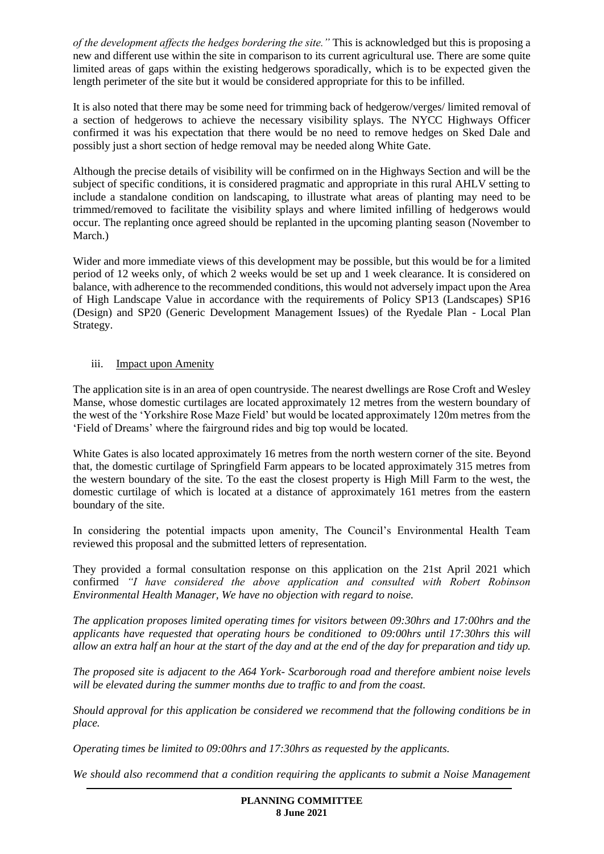*of the development affects the hedges bordering the site."* This is acknowledged but this is proposing a new and different use within the site in comparison to its current agricultural use. There are some quite limited areas of gaps within the existing hedgerows sporadically, which is to be expected given the length perimeter of the site but it would be considered appropriate for this to be infilled.

It is also noted that there may be some need for trimming back of hedgerow/verges/ limited removal of a section of hedgerows to achieve the necessary visibility splays. The NYCC Highways Officer confirmed it was his expectation that there would be no need to remove hedges on Sked Dale and possibly just a short section of hedge removal may be needed along White Gate.

Although the precise details of visibility will be confirmed on in the Highways Section and will be the subject of specific conditions, it is considered pragmatic and appropriate in this rural AHLV setting to include a standalone condition on landscaping, to illustrate what areas of planting may need to be trimmed/removed to facilitate the visibility splays and where limited infilling of hedgerows would occur. The replanting once agreed should be replanted in the upcoming planting season (November to March.)

Wider and more immediate views of this development may be possible, but this would be for a limited period of 12 weeks only, of which 2 weeks would be set up and 1 week clearance. It is considered on balance, with adherence to the recommended conditions, this would not adversely impact upon the Area of High Landscape Value in accordance with the requirements of Policy SP13 (Landscapes) SP16 (Design) and SP20 (Generic Development Management Issues) of the Ryedale Plan - Local Plan Strategy.

## iii. Impact upon Amenity

The application site is in an area of open countryside. The nearest dwellings are Rose Croft and Wesley Manse, whose domestic curtilages are located approximately 12 metres from the western boundary of the west of the 'Yorkshire Rose Maze Field' but would be located approximately 120m metres from the 'Field of Dreams' where the fairground rides and big top would be located.

White Gates is also located approximately 16 metres from the north western corner of the site. Beyond that, the domestic curtilage of Springfield Farm appears to be located approximately 315 metres from the western boundary of the site. To the east the closest property is High Mill Farm to the west, the domestic curtilage of which is located at a distance of approximately 161 metres from the eastern boundary of the site.

In considering the potential impacts upon amenity, The Council's Environmental Health Team reviewed this proposal and the submitted letters of representation.

They provided a formal consultation response on this application on the 21st April 2021 which confirmed *"I have considered the above application and consulted with Robert Robinson Environmental Health Manager, We have no objection with regard to noise.*

*The application proposes limited operating times for visitors between 09:30hrs and 17:00hrs and the applicants have requested that operating hours be conditioned to 09:00hrs until 17:30hrs this will allow an extra half an hour at the start of the day and at the end of the day for preparation and tidy up.*

*The proposed site is adjacent to the A64 York- Scarborough road and therefore ambient noise levels will be elevated during the summer months due to traffic to and from the coast.*

*Should approval for this application be considered we recommend that the following conditions be in place.*

*Operating times be limited to 09:00hrs and 17:30hrs as requested by the applicants.*

*We should also recommend that a condition requiring the applicants to submit a Noise Management*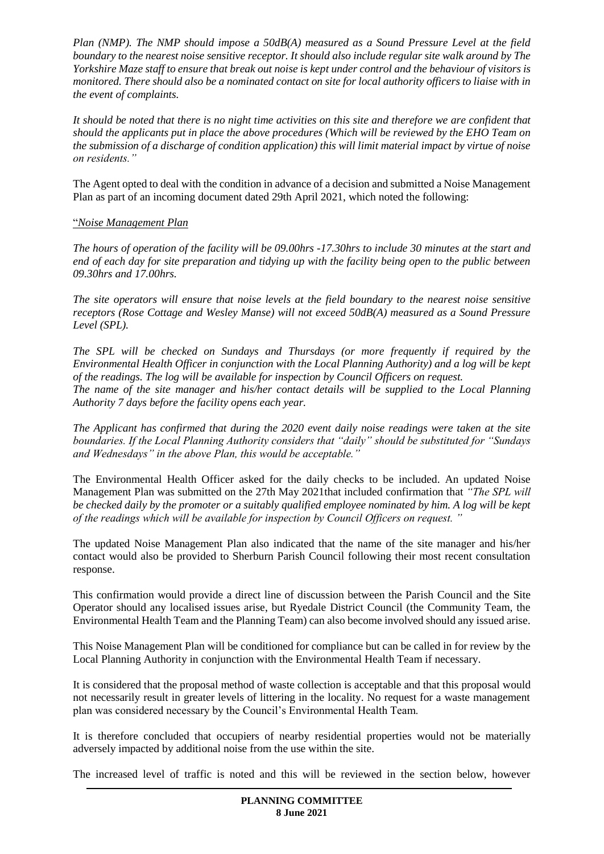*Plan (NMP). The NMP should impose a 50dB(A) measured as a Sound Pressure Level at the field boundary to the nearest noise sensitive receptor. It should also include regular site walk around by The Yorkshire Maze staff to ensure that break out noise is kept under control and the behaviour of visitors is monitored. There should also be a nominated contact on site for local authority officers to liaise with in the event of complaints.*

*It should be noted that there is no night time activities on this site and therefore we are confident that should the applicants put in place the above procedures (Which will be reviewed by the EHO Team on the submission of a discharge of condition application) this will limit material impact by virtue of noise on residents."*

The Agent opted to deal with the condition in advance of a decision and submitted a Noise Management Plan as part of an incoming document dated 29th April 2021, which noted the following:

## "*Noise Management Plan*

*The hours of operation of the facility will be 09.00hrs -17.30hrs to include 30 minutes at the start and end of each day for site preparation and tidying up with the facility being open to the public between 09.30hrs and 17.00hrs.* 

*The site operators will ensure that noise levels at the field boundary to the nearest noise sensitive receptors (Rose Cottage and Wesley Manse) will not exceed 50dB(A) measured as a Sound Pressure Level (SPL).* 

*The SPL will be checked on Sundays and Thursdays (or more frequently if required by the Environmental Health Officer in conjunction with the Local Planning Authority) and a log will be kept of the readings. The log will be available for inspection by Council Officers on request. The name of the site manager and his/her contact details will be supplied to the Local Planning Authority 7 days before the facility opens each year.*

*The Applicant has confirmed that during the 2020 event daily noise readings were taken at the site boundaries. If the Local Planning Authority considers that "daily" should be substituted for "Sundays and Wednesdays" in the above Plan, this would be acceptable."* 

The Environmental Health Officer asked for the daily checks to be included. An updated Noise Management Plan was submitted on the 27th May 2021that included confirmation that *"The SPL will be checked daily by the promoter or a suitably qualified employee nominated by him. A log will be kept of the readings which will be available for inspection by Council Officers on request. "* 

The updated Noise Management Plan also indicated that the name of the site manager and his/her contact would also be provided to Sherburn Parish Council following their most recent consultation response.

This confirmation would provide a direct line of discussion between the Parish Council and the Site Operator should any localised issues arise, but Ryedale District Council (the Community Team, the Environmental Health Team and the Planning Team) can also become involved should any issued arise.

This Noise Management Plan will be conditioned for compliance but can be called in for review by the Local Planning Authority in conjunction with the Environmental Health Team if necessary.

It is considered that the proposal method of waste collection is acceptable and that this proposal would not necessarily result in greater levels of littering in the locality. No request for a waste management plan was considered necessary by the Council's Environmental Health Team.

It is therefore concluded that occupiers of nearby residential properties would not be materially adversely impacted by additional noise from the use within the site.

The increased level of traffic is noted and this will be reviewed in the section below, however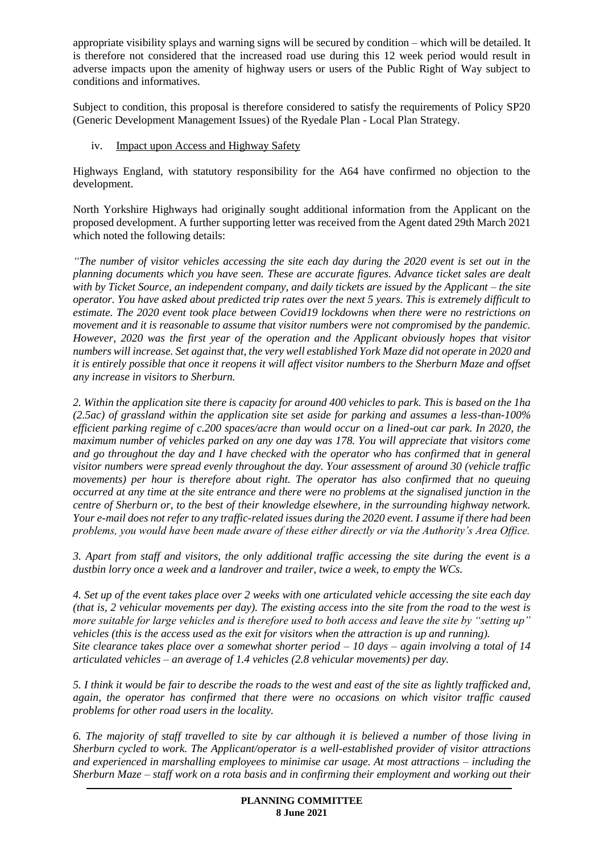appropriate visibility splays and warning signs will be secured by condition – which will be detailed. It is therefore not considered that the increased road use during this 12 week period would result in adverse impacts upon the amenity of highway users or users of the Public Right of Way subject to conditions and informatives.

Subject to condition, this proposal is therefore considered to satisfy the requirements of Policy SP20 (Generic Development Management Issues) of the Ryedale Plan - Local Plan Strategy.

iv. Impact upon Access and Highway Safety

Highways England, with statutory responsibility for the A64 have confirmed no objection to the development.

North Yorkshire Highways had originally sought additional information from the Applicant on the proposed development. A further supporting letter was received from the Agent dated 29th March 2021 which noted the following details:

*"The number of visitor vehicles accessing the site each day during the 2020 event is set out in the planning documents which you have seen. These are accurate figures. Advance ticket sales are dealt with by Ticket Source, an independent company, and daily tickets are issued by the Applicant – the site operator. You have asked about predicted trip rates over the next 5 years. This is extremely difficult to estimate. The 2020 event took place between Covid19 lockdowns when there were no restrictions on movement and it is reasonable to assume that visitor numbers were not compromised by the pandemic. However, 2020 was the first year of the operation and the Applicant obviously hopes that visitor numbers will increase. Set against that, the very well established York Maze did not operate in 2020 and it is entirely possible that once it reopens it will affect visitor numbers to the Sherburn Maze and offset any increase in visitors to Sherburn.* 

*2. Within the application site there is capacity for around 400 vehicles to park. This is based on the 1ha (2.5ac) of grassland within the application site set aside for parking and assumes a less-than-100% efficient parking regime of c.200 spaces/acre than would occur on a lined-out car park. In 2020, the maximum number of vehicles parked on any one day was 178. You will appreciate that visitors come and go throughout the day and I have checked with the operator who has confirmed that in general visitor numbers were spread evenly throughout the day. Your assessment of around 30 (vehicle traffic movements) per hour is therefore about right. The operator has also confirmed that no queuing occurred at any time at the site entrance and there were no problems at the signalised junction in the centre of Sherburn or, to the best of their knowledge elsewhere, in the surrounding highway network. Your e-mail does not refer to any traffic-related issues during the 2020 event. I assume if there had been problems, you would have been made aware of these either directly or via the Authority's Area Office.* 

*3. Apart from staff and visitors, the only additional traffic accessing the site during the event is a dustbin lorry once a week and a landrover and trailer, twice a week, to empty the WCs.* 

*4. Set up of the event takes place over 2 weeks with one articulated vehicle accessing the site each day (that is, 2 vehicular movements per day). The existing access into the site from the road to the west is more suitable for large vehicles and is therefore used to both access and leave the site by "setting up" vehicles (this is the access used as the exit for visitors when the attraction is up and running). Site clearance takes place over a somewhat shorter period – 10 days – again involving a total of 14 articulated vehicles – an average of 1.4 vehicles (2.8 vehicular movements) per day.* 

*5. I think it would be fair to describe the roads to the west and east of the site as lightly trafficked and, again, the operator has confirmed that there were no occasions on which visitor traffic caused problems for other road users in the locality.* 

*6. The majority of staff travelled to site by car although it is believed a number of those living in Sherburn cycled to work. The Applicant/operator is a well-established provider of visitor attractions and experienced in marshalling employees to minimise car usage. At most attractions – including the Sherburn Maze – staff work on a rota basis and in confirming their employment and working out their*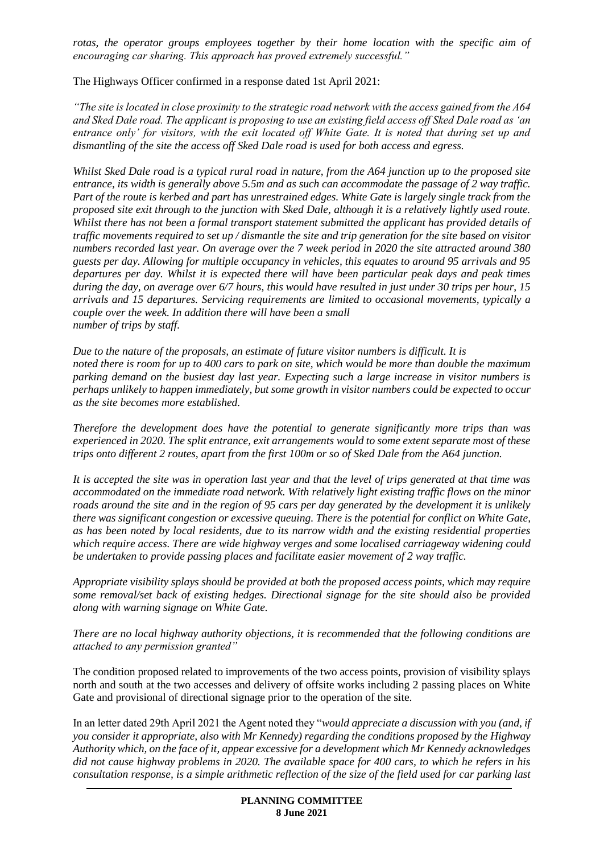*rotas, the operator groups employees together by their home location with the specific aim of encouraging car sharing. This approach has proved extremely successful."*

The Highways Officer confirmed in a response dated 1st April 2021:

*"The site is located in close proximity to the strategic road network with the access gained from the A64 and Sked Dale road. The applicant is proposing to use an existing field access off Sked Dale road as 'an entrance only' for visitors, with the exit located off White Gate. It is noted that during set up and dismantling of the site the access off Sked Dale road is used for both access and egress.*

*Whilst Sked Dale road is a typical rural road in nature, from the A64 junction up to the proposed site entrance, its width is generally above 5.5m and as such can accommodate the passage of 2 way traffic. Part of the route is kerbed and part has unrestrained edges. White Gate is largely single track from the proposed site exit through to the junction with Sked Dale, although it is a relatively lightly used route. Whilst there has not been a formal transport statement submitted the applicant has provided details of traffic movements required to set up / dismantle the site and trip generation for the site based on visitor numbers recorded last year. On average over the 7 week period in 2020 the site attracted around 380 guests per day. Allowing for multiple occupancy in vehicles, this equates to around 95 arrivals and 95 departures per day. Whilst it is expected there will have been particular peak days and peak times during the day, on average over 6/7 hours, this would have resulted in just under 30 trips per hour, 15 arrivals and 15 departures. Servicing requirements are limited to occasional movements, typically a couple over the week. In addition there will have been a small number of trips by staff.*

*Due to the nature of the proposals, an estimate of future visitor numbers is difficult. It is noted there is room for up to 400 cars to park on site, which would be more than double the maximum parking demand on the busiest day last year. Expecting such a large increase in visitor numbers is perhaps unlikely to happen immediately, but some growth in visitor numbers could be expected to occur as the site becomes more established.*

*Therefore the development does have the potential to generate significantly more trips than was experienced in 2020. The split entrance, exit arrangements would to some extent separate most of these trips onto different 2 routes, apart from the first 100m or so of Sked Dale from the A64 junction.*

*It is accepted the site was in operation last year and that the level of trips generated at that time was accommodated on the immediate road network. With relatively light existing traffic flows on the minor roads around the site and in the region of 95 cars per day generated by the development it is unlikely there was significant congestion or excessive queuing. There is the potential for conflict on White Gate, as has been noted by local residents, due to its narrow width and the existing residential properties which require access. There are wide highway verges and some localised carriageway widening could be undertaken to provide passing places and facilitate easier movement of 2 way traffic.*

*Appropriate visibility splays should be provided at both the proposed access points, which may require some removal/set back of existing hedges. Directional signage for the site should also be provided along with warning signage on White Gate.*

*There are no local highway authority objections, it is recommended that the following conditions are attached to any permission granted"* 

The condition proposed related to improvements of the two access points, provision of visibility splays north and south at the two accesses and delivery of offsite works including 2 passing places on White Gate and provisional of directional signage prior to the operation of the site.

In an letter dated 29th April 2021 the Agent noted they "*would appreciate a discussion with you (and, if you consider it appropriate, also with Mr Kennedy) regarding the conditions proposed by the Highway Authority which, on the face of it, appear excessive for a development which Mr Kennedy acknowledges did not cause highway problems in 2020. The available space for 400 cars, to which he refers in his consultation response, is a simple arithmetic reflection of the size of the field used for car parking last*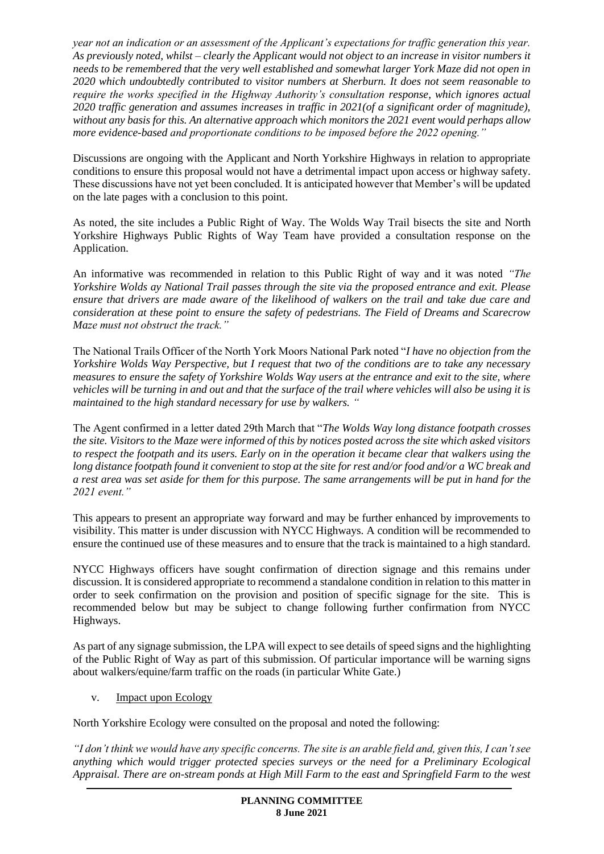*year not an indication or an assessment of the Applicant's expectations for traffic generation this year. As previously noted, whilst – clearly the Applicant would not object to an increase in visitor numbers it needs to be remembered that the very well established and somewhat larger York Maze did not open in 2020 which undoubtedly contributed to visitor numbers at Sherburn. It does not seem reasonable to require the works specified in the Highway Authority's consultation response, which ignores actual 2020 traffic generation and assumes increases in traffic in 2021(of a significant order of magnitude), without any basis for this. An alternative approach which monitors the 2021 event would perhaps allow more evidence-based and proportionate conditions to be imposed before the 2022 opening."*

Discussions are ongoing with the Applicant and North Yorkshire Highways in relation to appropriate conditions to ensure this proposal would not have a detrimental impact upon access or highway safety. These discussions have not yet been concluded. It is anticipated however that Member's will be updated on the late pages with a conclusion to this point.

As noted, the site includes a Public Right of Way. The Wolds Way Trail bisects the site and North Yorkshire Highways Public Rights of Way Team have provided a consultation response on the Application.

An informative was recommended in relation to this Public Right of way and it was noted *"The Yorkshire Wolds ay National Trail passes through the site via the proposed entrance and exit. Please ensure that drivers are made aware of the likelihood of walkers on the trail and take due care and consideration at these point to ensure the safety of pedestrians. The Field of Dreams and Scarecrow Maze must not obstruct the track."*

The National Trails Officer of the North York Moors National Park noted "*I have no objection from the Yorkshire Wolds Way Perspective, but I request that two of the conditions are to take any necessary measures to ensure the safety of Yorkshire Wolds Way users at the entrance and exit to the site, where vehicles will be turning in and out and that the surface of the trail where vehicles will also be using it is maintained to the high standard necessary for use by walkers. "*

The Agent confirmed in a letter dated 29th March that "*The Wolds Way long distance footpath crosses the site. Visitors to the Maze were informed of this by notices posted across the site which asked visitors to respect the footpath and its users. Early on in the operation it became clear that walkers using the long distance footpath found it convenient to stop at the site for rest and/or food and/or a WC break and a rest area was set aside for them for this purpose. The same arrangements will be put in hand for the 2021 event."*

This appears to present an appropriate way forward and may be further enhanced by improvements to visibility. This matter is under discussion with NYCC Highways. A condition will be recommended to ensure the continued use of these measures and to ensure that the track is maintained to a high standard.

NYCC Highways officers have sought confirmation of direction signage and this remains under discussion. It is considered appropriate to recommend a standalone condition in relation to this matter in order to seek confirmation on the provision and position of specific signage for the site. This is recommended below but may be subject to change following further confirmation from NYCC Highways.

As part of any signage submission, the LPA will expect to see details of speed signs and the highlighting of the Public Right of Way as part of this submission. Of particular importance will be warning signs about walkers/equine/farm traffic on the roads (in particular White Gate.)

v. Impact upon Ecology

North Yorkshire Ecology were consulted on the proposal and noted the following:

*"I don't think we would have any specific concerns. The site is an arable field and, given this, I can't see anything which would trigger protected species surveys or the need for a Preliminary Ecological Appraisal. There are on-stream ponds at High Mill Farm to the east and Springfield Farm to the west*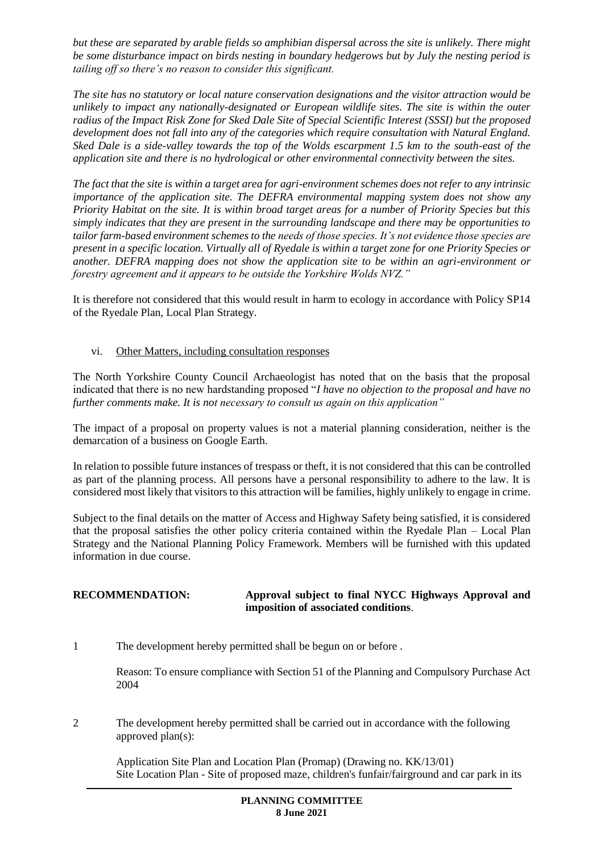*but these are separated by arable fields so amphibian dispersal across the site is unlikely. There might be some disturbance impact on birds nesting in boundary hedgerows but by July the nesting period is tailing off so there's no reason to consider this significant.*

*The site has no statutory or local nature conservation designations and the visitor attraction would be unlikely to impact any nationally-designated or European wildlife sites. The site is within the outer radius of the Impact Risk Zone for Sked Dale Site of Special Scientific Interest (SSSI) but the proposed development does not fall into any of the categories which require consultation with Natural England. Sked Dale is a side-valley towards the top of the Wolds escarpment 1.5 km to the south-east of the application site and there is no hydrological or other environmental connectivity between the sites.*

*The fact that the site is within a target area for agri-environment schemes does not refer to any intrinsic importance of the application site. The DEFRA environmental mapping system does not show any Priority Habitat on the site. It is within broad target areas for a number of Priority Species but this simply indicates that they are present in the surrounding landscape and there may be opportunities to tailor farm-based environment schemes to the needs of those species. It's not evidence those species are present in a specific location. Virtually all of Ryedale is within a target zone for one Priority Species or another. DEFRA mapping does not show the application site to be within an agri-environment or forestry agreement and it appears to be outside the Yorkshire Wolds NVZ."*

It is therefore not considered that this would result in harm to ecology in accordance with Policy SP14 of the Ryedale Plan, Local Plan Strategy.

#### vi. Other Matters, including consultation responses

The North Yorkshire County Council Archaeologist has noted that on the basis that the proposal indicated that there is no new hardstanding proposed "*I have no objection to the proposal and have no further comments make. It is not necessary to consult us again on this application"*

The impact of a proposal on property values is not a material planning consideration, neither is the demarcation of a business on Google Earth.

In relation to possible future instances of trespass or theft, it is not considered that this can be controlled as part of the planning process. All persons have a personal responsibility to adhere to the law. It is considered most likely that visitors to this attraction will be families, highly unlikely to engage in crime.

Subject to the final details on the matter of Access and Highway Safety being satisfied, it is considered that the proposal satisfies the other policy criteria contained within the Ryedale Plan – Local Plan Strategy and the National Planning Policy Framework. Members will be furnished with this updated information in due course.

## **RECOMMENDATION: Approval subject to final NYCC Highways Approval and imposition of associated conditions**.

1 The development hereby permitted shall be begun on or before .

Reason: To ensure compliance with Section 51 of the Planning and Compulsory Purchase Act 2004

2 The development hereby permitted shall be carried out in accordance with the following approved plan(s):

Application Site Plan and Location Plan (Promap) (Drawing no. KK/13/01) Site Location Plan - Site of proposed maze, children's funfair/fairground and car park in its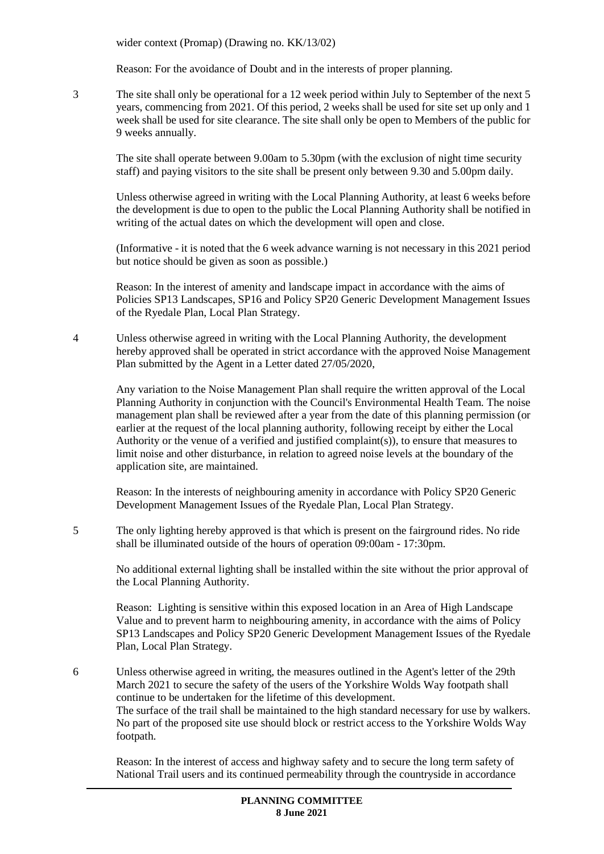wider context (Promap) (Drawing no. KK/13/02)

Reason: For the avoidance of Doubt and in the interests of proper planning.

3 The site shall only be operational for a 12 week period within July to September of the next 5 years, commencing from 2021. Of this period, 2 weeks shall be used for site set up only and 1 week shall be used for site clearance. The site shall only be open to Members of the public for 9 weeks annually.

The site shall operate between 9.00am to 5.30pm (with the exclusion of night time security staff) and paying visitors to the site shall be present only between 9.30 and 5.00pm daily.

Unless otherwise agreed in writing with the Local Planning Authority, at least 6 weeks before the development is due to open to the public the Local Planning Authority shall be notified in writing of the actual dates on which the development will open and close.

(Informative - it is noted that the 6 week advance warning is not necessary in this 2021 period but notice should be given as soon as possible.)

Reason: In the interest of amenity and landscape impact in accordance with the aims of Policies SP13 Landscapes, SP16 and Policy SP20 Generic Development Management Issues of the Ryedale Plan, Local Plan Strategy.

4 Unless otherwise agreed in writing with the Local Planning Authority, the development hereby approved shall be operated in strict accordance with the approved Noise Management Plan submitted by the Agent in a Letter dated 27/05/2020,

Any variation to the Noise Management Plan shall require the written approval of the Local Planning Authority in conjunction with the Council's Environmental Health Team. The noise management plan shall be reviewed after a year from the date of this planning permission (or earlier at the request of the local planning authority, following receipt by either the Local Authority or the venue of a verified and justified complaint(s)), to ensure that measures to limit noise and other disturbance, in relation to agreed noise levels at the boundary of the application site, are maintained.

Reason: In the interests of neighbouring amenity in accordance with Policy SP20 Generic Development Management Issues of the Ryedale Plan, Local Plan Strategy.

5 The only lighting hereby approved is that which is present on the fairground rides. No ride shall be illuminated outside of the hours of operation 09:00am - 17:30pm.

No additional external lighting shall be installed within the site without the prior approval of the Local Planning Authority.

Reason: Lighting is sensitive within this exposed location in an Area of High Landscape Value and to prevent harm to neighbouring amenity, in accordance with the aims of Policy SP13 Landscapes and Policy SP20 Generic Development Management Issues of the Ryedale Plan, Local Plan Strategy.

6 Unless otherwise agreed in writing, the measures outlined in the Agent's letter of the 29th March 2021 to secure the safety of the users of the Yorkshire Wolds Way footpath shall continue to be undertaken for the lifetime of this development. The surface of the trail shall be maintained to the high standard necessary for use by walkers. No part of the proposed site use should block or restrict access to the Yorkshire Wolds Way footpath.

Reason: In the interest of access and highway safety and to secure the long term safety of National Trail users and its continued permeability through the countryside in accordance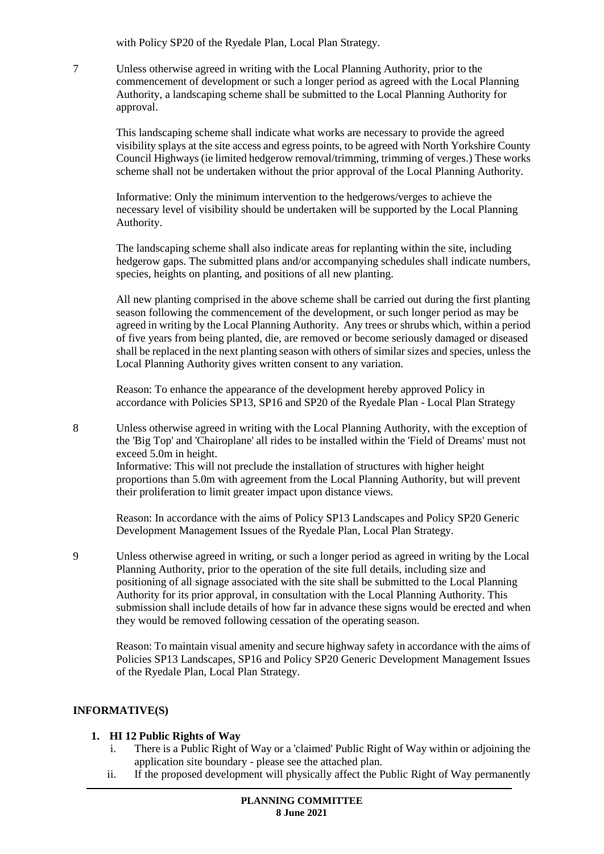with Policy SP20 of the Ryedale Plan, Local Plan Strategy.

7 Unless otherwise agreed in writing with the Local Planning Authority, prior to the commencement of development or such a longer period as agreed with the Local Planning Authority, a landscaping scheme shall be submitted to the Local Planning Authority for approval.

This landscaping scheme shall indicate what works are necessary to provide the agreed visibility splays at the site access and egress points, to be agreed with North Yorkshire County Council Highways (ie limited hedgerow removal/trimming, trimming of verges.) These works scheme shall not be undertaken without the prior approval of the Local Planning Authority.

Informative: Only the minimum intervention to the hedgerows/verges to achieve the necessary level of visibility should be undertaken will be supported by the Local Planning Authority.

The landscaping scheme shall also indicate areas for replanting within the site, including hedgerow gaps. The submitted plans and/or accompanying schedules shall indicate numbers, species, heights on planting, and positions of all new planting.

All new planting comprised in the above scheme shall be carried out during the first planting season following the commencement of the development, or such longer period as may be agreed in writing by the Local Planning Authority. Any trees or shrubs which, within a period of five years from being planted, die, are removed or become seriously damaged or diseased shall be replaced in the next planting season with others of similar sizes and species, unless the Local Planning Authority gives written consent to any variation.

Reason: To enhance the appearance of the development hereby approved Policy in accordance with Policies SP13, SP16 and SP20 of the Ryedale Plan - Local Plan Strategy

8 Unless otherwise agreed in writing with the Local Planning Authority, with the exception of the 'Big Top' and 'Chairoplane' all rides to be installed within the 'Field of Dreams' must not exceed 5.0m in height.

Informative: This will not preclude the installation of structures with higher height proportions than 5.0m with agreement from the Local Planning Authority, but will prevent their proliferation to limit greater impact upon distance views.

Reason: In accordance with the aims of Policy SP13 Landscapes and Policy SP20 Generic Development Management Issues of the Ryedale Plan, Local Plan Strategy.

9 Unless otherwise agreed in writing, or such a longer period as agreed in writing by the Local Planning Authority, prior to the operation of the site full details, including size and positioning of all signage associated with the site shall be submitted to the Local Planning Authority for its prior approval, in consultation with the Local Planning Authority. This submission shall include details of how far in advance these signs would be erected and when they would be removed following cessation of the operating season.

Reason: To maintain visual amenity and secure highway safety in accordance with the aims of Policies SP13 Landscapes, SP16 and Policy SP20 Generic Development Management Issues of the Ryedale Plan, Local Plan Strategy.

## **INFORMATIVE(S)**

#### **1. HI 12 Public Rights of Way**

- i. There is a Public Right of Way or a 'claimed' Public Right of Way within or adjoining the application site boundary - please see the attached plan.
- ii. If the proposed development will physically affect the Public Right of Way permanently